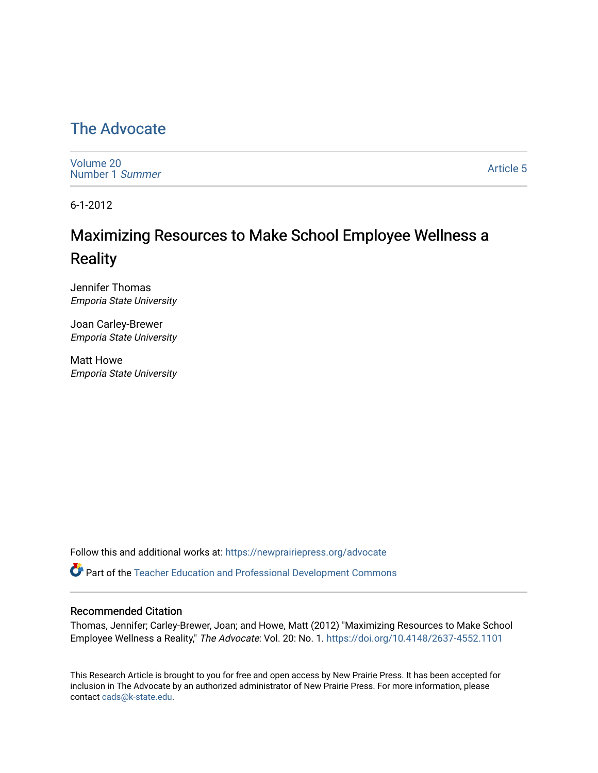## [The Advocate](https://newprairiepress.org/advocate)

[Volume 20](https://newprairiepress.org/advocate/vol20) [Number 1](https://newprairiepress.org/advocate/vol20/iss1) Summer

[Article 5](https://newprairiepress.org/advocate/vol20/iss1/5) 

6-1-2012

# Maximizing Resources to Make School Employee Wellness a Reality

Jennifer Thomas Emporia State University

Joan Carley-Brewer Emporia State University

Matt Howe Emporia State University

Follow this and additional works at: [https://newprairiepress.org/advocate](https://newprairiepress.org/advocate?utm_source=newprairiepress.org%2Fadvocate%2Fvol20%2Fiss1%2F5&utm_medium=PDF&utm_campaign=PDFCoverPages) 

Part of the [Teacher Education and Professional Development Commons](http://network.bepress.com/hgg/discipline/803?utm_source=newprairiepress.org%2Fadvocate%2Fvol20%2Fiss1%2F5&utm_medium=PDF&utm_campaign=PDFCoverPages) 

#### Recommended Citation

Thomas, Jennifer; Carley-Brewer, Joan; and Howe, Matt (2012) "Maximizing Resources to Make School Employee Wellness a Reality," The Advocate: Vol. 20: No. 1.<https://doi.org/10.4148/2637-4552.1101>

This Research Article is brought to you for free and open access by New Prairie Press. It has been accepted for inclusion in The Advocate by an authorized administrator of New Prairie Press. For more information, please contact [cads@k-state.edu](mailto:cads@k-state.edu).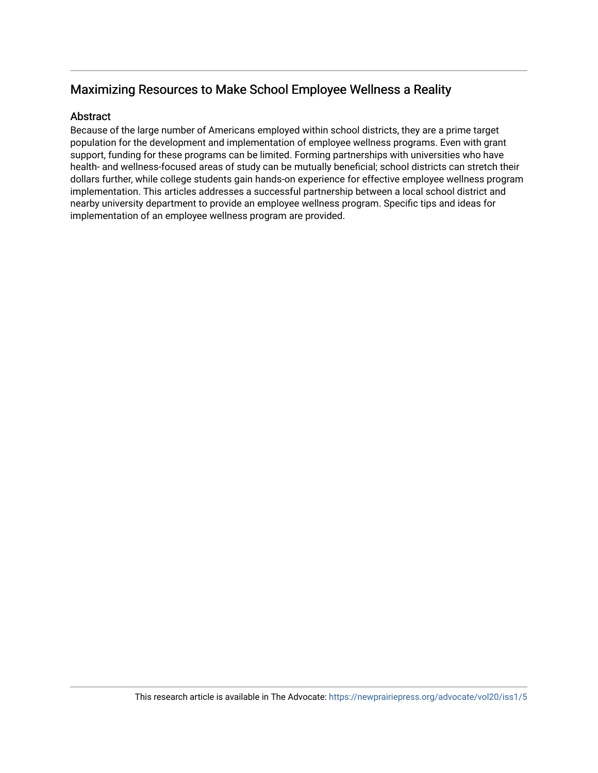## Maximizing Resources to Make School Employee Wellness a Reality

#### Abstract

Because of the large number of Americans employed within school districts, they are a prime target population for the development and implementation of employee wellness programs. Even with grant support, funding for these programs can be limited. Forming partnerships with universities who have health- and wellness-focused areas of study can be mutually beneficial; school districts can stretch their dollars further, while college students gain hands-on experience for effective employee wellness program implementation. This articles addresses a successful partnership between a local school district and nearby university department to provide an employee wellness program. Specific tips and ideas for implementation of an employee wellness program are provided.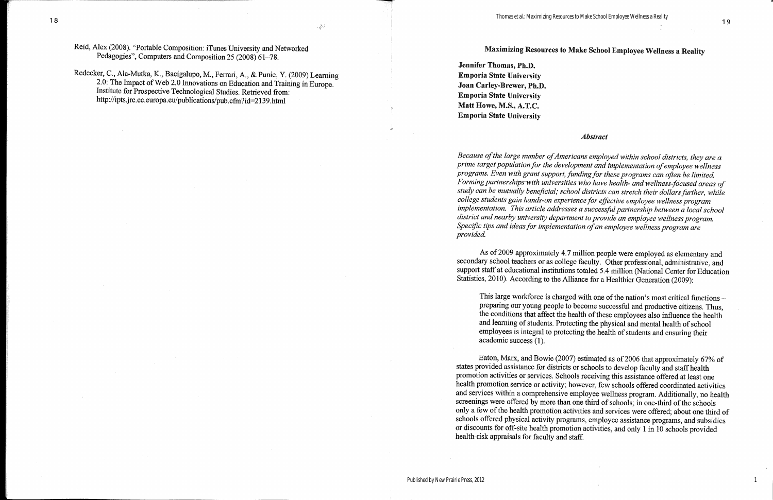### Maximizing Resources to Make School Employee Wellness a Reality

Jennifer Thomas, Ph.D. **Emporia State University** Joan Carley-Brewer, Ph.D. **Emporia State University** Matt Howe, M.S., A.T.C. **Emporia State University** 

#### **Abstract**

Because of the large number of Americans employed within school districts, they are a prime target population for the development and implementation of employee wellness programs. Even with grant support, funding for these programs can often be limited. Forming partnerships with universities who have health- and wellness-focused areas of study can be mutually beneficial; school districts can stretch their dollars further, while college students gain hands-on experience for effective employee wellness program implementation. This article addresses a successful partnership between a local school district and nearby university department to provide an employee wellness program. Specific tips and ideas for implementation of an employee wellness program are provided.

As of 2009 approximately 4.7 million people were employed as elementary and secondary school teachers or as college faculty. Other professional, administrative, and support staff at educational institutions totaled 5.4 million (National Center for Education Statistics, 2010). According to the Alliance for a Healthier Generation (2009):

This large workforce is charged with one of the nation's most critical functions preparing our young people to become successful and productive citizens. Thus, the conditions that affect the health of these employees also influence the health and learning of students. Protecting the physical and mental health of school employees is integral to protecting the health of students and ensuring their  $academic$  success  $(1)$ .

Eaton, Marx, and Bowie (2007) estimated as of 2006 that approximately 67% of states provided assistance for districts or schools to develop faculty and staff health promotion activities or services. Schools receiving this assistance offered at least one health promotion service or activity; however, few schools offered coordinated activities and services within a comprehensive employee wellness program. Additionally, no health screenings were offered by more than one third of schools; in one-third of the schools only a few of the health promotion activities and services were offered; about one third of schools offered physical activity programs, employee assistance programs, and subsidies or discounts for off-site health promotion activities, and only 1 in 10 schools provided health-risk appraisals for faculty and staff.

1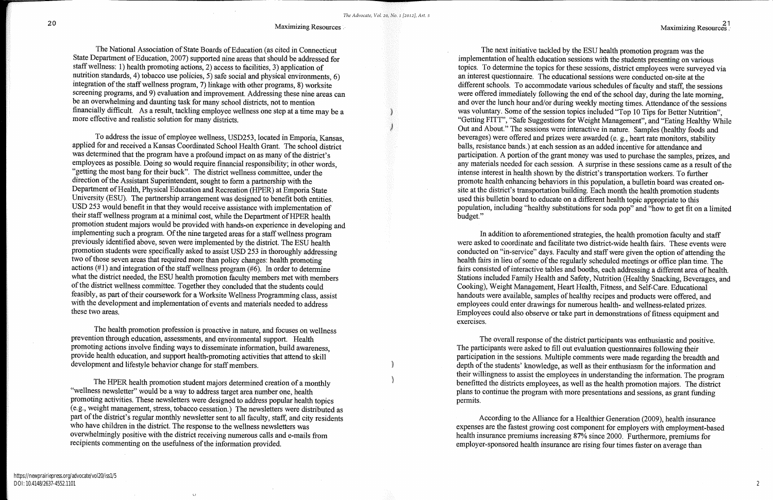The National Association of State Boards of Education (as cited in Connecticut State Department of Education, 2007) supported nine areas that should be addressed for staff wellness: 1) health promoting actions, 2) access to facilities, 3) application of nutrition standards, 4) tobacco use policies, 5) safe social and physical environments, 6) integration of the staff wellness program, 7) linkage with other programs, 8) worksite screening programs, and 9) evaluation and improvement. Addressing these nine areas can be an overwhelming and daunting task for many school districts, not to mention financially difficult. As a result, tackling employee wellness one step at a time may be a more effective and realistic solution for many districts.

To address the issue of employee wellness, USD253, located in Emporia, Kansas, applied for and received a Kansas Coordinated School Health Grant. The school district was determined that the program have a profound impact on as many of the district's employees as possible. Doing so would require financial responsibility; in other words. "getting the most bang for their buck". The district wellness committee, under the direction of the Assistant Superintendent, sought to form a partnership with the Department of Health, Physical Education and Recreation (HPER) at Emporia State University (ESU). The partnership arrangement was designed to benefit both entities. USD 253 would benefit in that they would receive assistance with implementation of their staff wellness program at a minimal cost, while the Department of HPER health promotion student majors would be provided with hands-on experience in developing and implementing such a program. Of the nine targeted areas for a staff wellness program previously identified above, seven were implemented by the district. The ESU health promotion students were specifically asked to assist USD 253 in thoroughly addressing two of those seven areas that required more than policy changes: health promoting actions  $(\#1)$  and integration of the staff wellness program  $(\#6)$ . In order to determine what the district needed, the ESU health promotion faculty members met with members of the district wellness committee. Together they concluded that the students could feasibly, as part of their coursework for a Worksite Wellness Programming class, assist with the development and implementation of events and materials needed to address these two areas.

The health promotion profession is proactive in nature, and focuses on wellness prevention through education, assessments, and environmental support. Health promoting actions involve finding ways to disseminate information, build awareness, provide health education, and support health-promoting activities that attend to skill development and lifestyle behavior change for staff members.

The HPER health promotion student majors determined creation of a monthly "wellness newsletter" would be a way to address target area number one, health promoting activities. These newsletters were designed to address popular health topics (e.g., weight management, stress, tobacco cessation.) The newsletters were distributed as part of the district's regular monthly newsletter sent to all faculty, staff, and city residents who have children in the district. The response to the wellness newsletters was overwhelmingly positive with the district receiving numerous calls and e-mails from recipients commenting on the usefulness of the information provided.

 $\circ$ 

The next initiative tackled by the ESU health promotion program was the implementation of health education sessions with the students presenting on various topics. To determine the topics for these sessions, district employees were surveyed via an interest questionnaire. The educational sessions were conducted on-site at the different schools. To accommodate various schedules of faculty and staff, the sessions were offered immediately following the end of the school day, during the late morning, and over the lunch hour and/or during weekly meeting times. Attendance of the sessions was voluntary. Some of the session topics included "Top 10 Tips for Better Nutrition". "Getting FITT", "Safe Suggestions for Weight Management", and "Eating Healthy While Out and About." The sessions were interactive in nature. Samples (healthy foods and beverages) were offered and prizes were awarded (e. g., heart rate monitors, stability balls, resistance bands.) at each session as an added incentive for attendance and participation. A portion of the grant money was used to purchase the samples, prizes, and any materials needed for each session. A surprise in these sessions came as a result of the intense interest in health shown by the district's transportation workers. To further promote health enhancing behaviors in this population, a bulletin board was created onsite at the district's transportation building. Each month the health promotion students used this bulletin board to educate on a different health topic appropriate to this population, including "healthy substitutions for soda pop" and "how to get fit on a limited budget."

In addition to aforementioned strategies, the health promotion faculty and staff were asked to coordinate and facilitate two district-wide health fairs. These events were conducted on "in-service" days. Faculty and staff were given the option of attending the health fairs in lieu of some of the regularly scheduled meetings or office plan time. The fairs consisted of interactive tables and booths, each addressing a different area of health. Stations included Family Health and Safety, Nutrition (Healthy Snacking, Beverages, and Cooking), Weight Management, Heart Health, Fitness, and Self-Care. Educational handouts were available, samples of healthy recipes and products were offered, and employees could enter drawings for numerous health- and wellness-related prizes. Employees could also observe or take part in demonstrations of fitness equipment and exercises.

The overall response of the district participants was enthusiastic and positive. The participants were asked to fill out evaluation questionnaires following their participation in the sessions. Multiple comments were made regarding the breadth and depth of the students' knowledge, as well as their enthusiasm for the information and their willingness to assist the employees in understanding the information. The program benefitted the districts employees, as well as the health promotion majors. The district plans to continue the program with more presentations and sessions, as grant funding permits.

According to the Alliance for a Healthier Generation (2009), health insurance expenses are the fastest growing cost component for employers with employment-based health insurance premiums increasing 87% since 2000. Furthermore, premiums for employer-sponsored health insurance are rising four times faster on average than

21<br>. Maximizing Resources